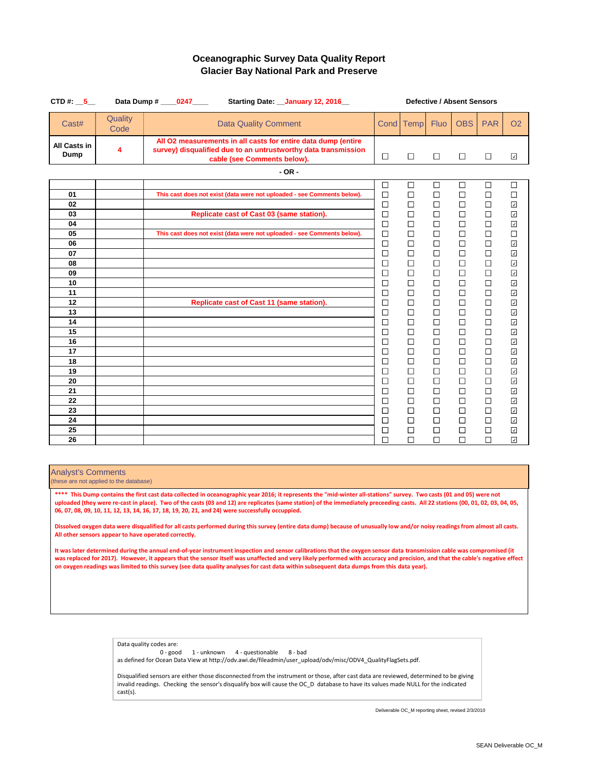| CTD #: $\_5$                       |                 | Data Dump # _____0247_____ |                                           | Starting Date: __ January 12, 2016_                                                                                             | <b>Defective / Absent Sensors</b> |                            |                            |                            |                            |                                                                          |  |
|------------------------------------|-----------------|----------------------------|-------------------------------------------|---------------------------------------------------------------------------------------------------------------------------------|-----------------------------------|----------------------------|----------------------------|----------------------------|----------------------------|--------------------------------------------------------------------------|--|
| Cast#                              | Quality<br>Code |                            | <b>Data Quality Comment</b>               |                                                                                                                                 |                                   | Cond   Temp                | <b>Fluo</b>                | <b>OBS</b>                 | <b>PAR</b>                 | <b>O2</b>                                                                |  |
| <b>All Casts in</b><br><b>Dump</b> | 4               |                            | cable (see Comments below).               | All O2 measurements in all casts for entire data dump (entire<br>survey) disqualified due to an untrustworthy data transmission | $\Box$                            | $\Box$                     | $\Box$                     | $\Box$                     | $\Box$                     | ☑                                                                        |  |
|                                    |                 |                            |                                           | $-OR -$                                                                                                                         |                                   |                            |                            |                            |                            |                                                                          |  |
| 01                                 |                 |                            |                                           | This cast does not exist (data were not uploaded - see Comments below).                                                         | $\Box$<br>$\Box$                  | $\Box$<br>$\Box$           | $\Box$<br>$\Box$           | $\Box$<br>$\Box$           | $\Box$<br>$\Box$           | $\Box$<br>$\Box$                                                         |  |
| 02<br>03                           |                 |                            | Replicate cast of Cast 03 (same station). |                                                                                                                                 | $\Box$<br>$\Box$                  | $\Box$<br>$\Box$           | $\Box$<br>$\Box$           | $\Box$<br>$\Box$           | $\Box$<br>$\Box$           | $\overline{\mathcal{L}}$<br>$\overline{\mathcal{L}}$                     |  |
| 04<br>05<br>06                     |                 |                            |                                           | This cast does not exist (data were not uploaded - see Comments below).                                                         | $\Box$<br>$\Box$<br>$\Box$        | $\Box$<br>$\Box$<br>$\Box$ | $\Box$<br>$\Box$<br>$\Box$ | $\Box$<br>$\Box$<br>$\Box$ | $\Box$<br>$\Box$<br>$\Box$ | $\blacktriangledown$<br>$\Box$<br>$\boxed{\textcolor{blue}{\Delta}}$     |  |
| 07<br>08                           |                 |                            |                                           |                                                                                                                                 | $\Box$<br>$\Box$                  | $\Box$<br>$\Box$           | $\Box$<br>$\Box$           | $\Box$<br>$\Box$           | $\Box$<br>$\Box$           | $\boxed{\textcolor{blue}{\Delta}}$<br>$\boxed{\textcolor{blue}{\Delta}}$ |  |
| 09<br>10                           |                 |                            |                                           |                                                                                                                                 | $\Box$<br>$\Box$                  | $\Box$<br>$\Box$           | $\Box$<br>$\Box$           | $\Box$<br>$\Box$           | $\Box$<br>$\Box$           | $\overline{\mathcal{L}}$<br>$\boxed{\textcolor{blue}{\Delta}}$           |  |
| 11<br>12                           |                 |                            | Replicate cast of Cast 11 (same station). |                                                                                                                                 | $\Box$<br>$\Box$                  | $\Box$<br>$\Box$           | $\Box$<br>$\Box$           | $\Box$<br>$\Box$           | $\Box$<br>$\Box$           | $\boxed{\textcolor{blue}{\Delta}}$<br>$\overline{\mathcal{L}}$           |  |
| 13<br>14                           |                 |                            |                                           |                                                                                                                                 | $\Box$<br>$\Box$                  | $\Box$<br>$\Box$           | $\Box$<br>$\Box$           | $\Box$<br>$\Box$           | $\Box$<br>$\Box$           | $\boxed{\textcolor{blue}{\Delta}}$<br>$\boxed{\textcolor{blue}{\Delta}}$ |  |
| 15<br>16                           |                 |                            |                                           |                                                                                                                                 | $\Box$<br>$\Box$                  | $\Box$<br>$\Box$           | $\Box$<br>$\Box$           | $\Box$<br>$\Box$           | $\Box$<br>$\Box$           | $\blacktriangledown$<br>$\overline{\mathcal{L}}$                         |  |
| 17<br>18                           |                 |                            |                                           |                                                                                                                                 | $\Box$<br>$\Box$                  | $\Box$<br>$\Box$           | $\Box$<br>$\Box$           | $\Box$<br>$\Box$           | $\Box$<br>$\Box$           | $\overline{\mathcal{L}}$<br>$\overline{\mathcal{S}}$                     |  |
| 19<br>20                           |                 |                            |                                           |                                                                                                                                 | $\Box$<br>$\Box$                  | $\Box$<br>$\Box$           | $\Box$<br>$\Box$           | $\Box$<br>$\Box$           | $\Box$<br>$\Box$           | ☑<br>$\overline{\mathbf{z}}$                                             |  |
| 21<br>22                           |                 |                            |                                           |                                                                                                                                 | $\Box$<br>$\Box$                  | $\Box$<br>$\Box$           | $\Box$<br>$\Box$           | $\Box$<br>$\Box$           | $\Box$<br>$\Box$           | ☑<br>$\overline{\mathbf{r}}$                                             |  |
| 23<br>24                           |                 |                            |                                           |                                                                                                                                 | $\Box$<br>$\Box$                  | $\Box$<br>$\Box$           | $\Box$<br>$\Box$           | $\Box$<br>$\Box$           | $\Box$<br>$\Box$           | $\overline{\mathcal{L}}$<br>☑                                            |  |
| 25<br>26                           |                 |                            |                                           |                                                                                                                                 | $\Box$<br>$\Box$                  | $\Box$<br>$\Box$           | $\Box$<br>$\Box$           | $\Box$<br>$\Box$           | $\Box$<br>$\Box$           | $\overline{\mathcal{A}}$<br>$\overline{\mathsf{S}}$                      |  |

#### Analyst's Comments

(these are not applied to the database)

### **Oceanographic Survey Data Quality Report Glacier Bay National Park and Preserve**

Data quality codes are:

0 - good 1 - unknown 4 - questionable 8 - bad

as defined for Ocean Data View at http://odv.awi.de/fileadmin/user\_upload/odv/misc/ODV4\_QualityFlagSets.pdf.

Disqualified sensors are either those disconnected from the instrument or those, after cast data are reviewed, determined to be giving invalid readings. Checking the sensor's disqualify box will cause the OC\_D database to have its values made NULL for the indicated cast(s).

**\*\*\*\* This Dump contains the first cast data collected in oceanographic year 2016; it represents the "mid-winter all-stations" survey. Two casts (01 and 05) were not uploaded (they were re-cast in place). Two of the casts (03 and 12) are replicates (same station) of the immediately preceeding casts. All 22 stations (00, 01, 02, 03, 04, 05, 06, 07, 08, 09, 10, 11, 12, 13, 14, 16, 17, 18, 19, 20, 21, and 24) were successfully occuppied.**

**Dissolved oxygen data were disqualified for all casts performed during this survey (entire data dump) because of unusually low and/or noisy readings from almost all casts.** 

**All other sensors appear to have operated correctly.**

**It was later determined during the annual end-of-year instrument inspection and sensor calibrations that the oxygen sensor data transmission cable was compromised (it was replaced for 2017). However, it appears that the sensor itself was unaffected and very likely performed with accuracy and precision, and that the cable's negative effect on oxygen readings was limited to this survey (see data quality analyses for cast data within subsequent data dumps from this data year).**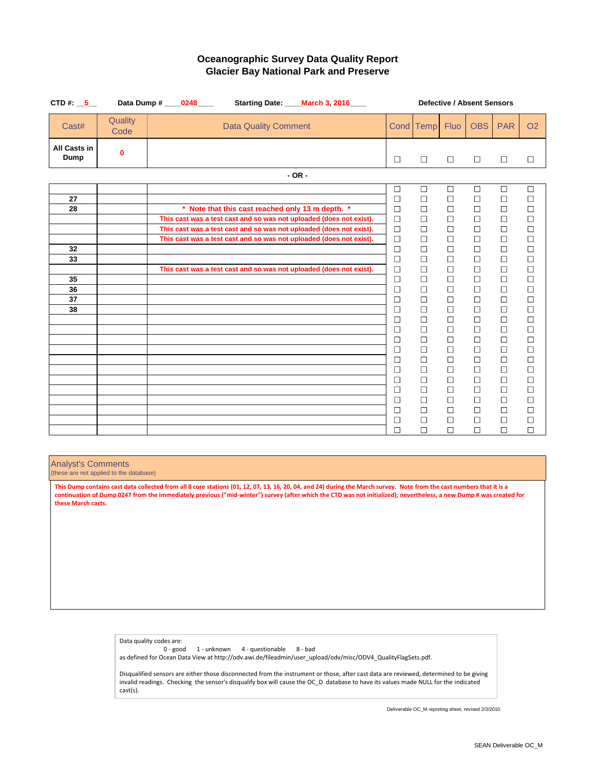| CTD #: $\_5$                       |                 | Data Dump # _____0248_____ | Starting Date: ____ March 3, 2016____            | <b>Defective / Absent Sensors</b>                                   |                          |           |             |            |            |                             |  |
|------------------------------------|-----------------|----------------------------|--------------------------------------------------|---------------------------------------------------------------------|--------------------------|-----------|-------------|------------|------------|-----------------------------|--|
| Cast#                              | Quality<br>Code |                            | <b>Data Quality Comment</b>                      |                                                                     |                          | Cond Temp | <b>Fluo</b> | <b>OBS</b> | <b>PAR</b> | <b>O2</b>                   |  |
| <b>All Casts in</b><br><b>Dump</b> | $\mathbf 0$     |                            |                                                  |                                                                     | $\Box$                   | $\Box$    | $\Box$      | $\Box$     | $\Box$     | $\Box$                      |  |
|                                    |                 |                            |                                                  | $-OR -$                                                             |                          |           |             |            |            |                             |  |
|                                    |                 |                            |                                                  |                                                                     | $\Box$                   | $\Box$    | $\Box$      | $\Box$     | $\Box$     | $\Box$                      |  |
| 27                                 |                 |                            |                                                  |                                                                     | $\Box$                   | $\Box$    | $\Box$      | $\Box$     | $\Box$     | $\Box$                      |  |
| 28                                 |                 |                            | * Note that this cast reached only 13 m depth. * |                                                                     | $\Box$                   | $\Box$    | $\Box$      | $\Box$     | $\Box$     | $\Box$                      |  |
|                                    |                 |                            |                                                  | This cast was a test cast and so was not uploaded (does not exist). | $\Box$                   | $\Box$    | $\Box$      | $\Box$     | $\Box$     | $\Box$                      |  |
|                                    |                 |                            |                                                  | This cast was a test cast and so was not uploaded (does not exist). | $\Box$                   | $\Box$    | $\Box$      | $\Box$     | $\Box$     | $\Box$                      |  |
|                                    |                 |                            |                                                  | This cast was a test cast and so was not uploaded (does not exist). | $\Box$                   | $\Box$    | $\Box$      | $\Box$     | $\Box$     | $\Box$                      |  |
| 32                                 |                 |                            |                                                  |                                                                     | $\Box$                   | $\Box$    | $\Box$      | $\Box$     | $\Box$     | $\Box$                      |  |
| 33                                 |                 |                            |                                                  |                                                                     | $\Box$                   | $\Box$    | $\Box$      | $\Box$     | $\Box$     | $\Box$                      |  |
|                                    |                 |                            |                                                  | This cast was a test cast and so was not uploaded (does not exist). | $\Box$                   | $\Box$    | $\Box$      | $\Box$     | $\Box$     | $\Box$                      |  |
| 35                                 |                 |                            |                                                  |                                                                     | $\Box$                   | $\Box$    | $\Box$      | $\Box$     | $\Box$     | $\Box$                      |  |
| 36                                 |                 |                            |                                                  |                                                                     | $\Box$                   | $\Box$    | $\Box$      | $\Box$     | $\Box$     | $\Box$                      |  |
| 37                                 |                 |                            |                                                  |                                                                     | $\Box$                   | $\Box$    | $\Box$      | $\Box$     | $\Box$     | $\Box$                      |  |
| 38                                 |                 |                            |                                                  |                                                                     | $\Box$                   | $\Box$    | $\Box$      | $\Box$     | $\Box$     | $\Box$                      |  |
|                                    |                 |                            |                                                  |                                                                     | $\Box$                   | $\Box$    | $\Box$      | $\Box$     | $\Box$     | $\Box$                      |  |
|                                    |                 |                            |                                                  |                                                                     | $\Box$                   | $\Box$    | $\Box$      | $\Box$     | $\Box$     | $\Box$                      |  |
|                                    |                 |                            |                                                  |                                                                     |                          | $\Box$    | $\Box$      | $\Box$     | $\Box$     | $\Box$                      |  |
|                                    |                 |                            |                                                  |                                                                     | $\Box$                   | $\Box$    | $\Box$      | $\Box$     | $\Box$     | $\Box$                      |  |
|                                    |                 |                            |                                                  |                                                                     | $\overline{\phantom{a}}$ | $\Box$    |             | $\Box$     | $\Box$     | $\Box$                      |  |
|                                    |                 |                            |                                                  |                                                                     | $\Box$                   | $\Box$    | $\Box$      | $\Box$     | $\Box$     | $\Box$                      |  |
|                                    |                 |                            |                                                  |                                                                     | $\Box$                   | $\Box$    | $\Box$      | $\Box$     | $\Box$     |                             |  |
|                                    |                 |                            |                                                  |                                                                     | $\Box$                   | $\Box$    | $\Box$      | $\Box$     | $\Box$     | $\mathcal{L}_{\mathcal{A}}$ |  |
|                                    |                 |                            |                                                  |                                                                     | $\Box$                   | $\Box$    | $\Box$      | $\Box$     | $\Box$     | $\Box$                      |  |
|                                    |                 |                            |                                                  |                                                                     | $\Box$                   | $\Box$    | $\Box$      | $\Box$     | $\Box$     | $\Box$                      |  |
|                                    |                 |                            |                                                  |                                                                     | $\Box$                   | $\Box$    | $\Box$      | $\Box$     | $\Box$     | $\Box$                      |  |
|                                    |                 |                            |                                                  |                                                                     | $\Box$                   | $\Box$    | $\Box$      | $\Box$     | $\Box$     | $\Box$                      |  |

## **Oceanographic Survey Data Quality Report Glacier Bay National Park and Preserve**

### Analyst's Comments

(these are not applied to the database)

Data quality codes are:

0 - good 1 - unknown 4 - questionable 8 - bad

as defined for Ocean Data View at http://odv.awi.de/fileadmin/user\_upload/odv/misc/ODV4\_QualityFlagSets.pdf.

Disqualified sensors are either those disconnected from the instrument or those, after cast data are reviewed, determined to be giving invalid readings. Checking the sensor's disqualify box will cause the OC\_D database to have its values made NULL for the indicated cast(s).

**This Dump contains cast data collected from all 8 core stations (01, 12, 07, 13, 16, 20, 04, and 24) during the March survey. Note from the cast numbers that it is a continuation of Dump 0247 from the immediately previous ("mid-winter") survey (after which the CTD was not initialized); nevertheless, a new Dump # was created for these March casts.**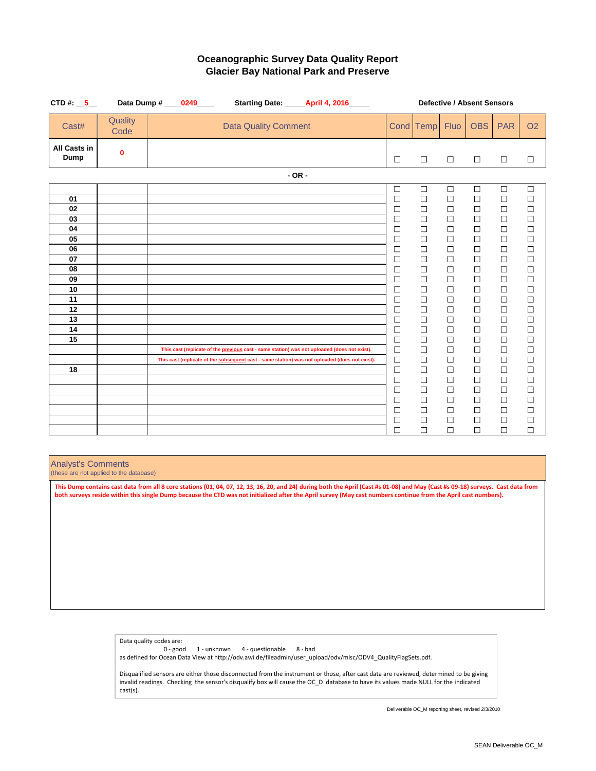| CTD #: $\_5$                                                                                 |                  | Data Dump # _____0249_____                                                                   |  |                             |          | Starting Date: ______ April 4, 2016_____                                                       | <b>Defective / Absent Sensors</b>                                                                                                                                                                              |                                                                                                                                                                                                                          |                                                                                                                                                                                                                          |                                                                                                                                                                                                                          |                                                                                                                                                                                                                          |                                                                                                                                                                                                                |
|----------------------------------------------------------------------------------------------|------------------|----------------------------------------------------------------------------------------------|--|-----------------------------|----------|------------------------------------------------------------------------------------------------|----------------------------------------------------------------------------------------------------------------------------------------------------------------------------------------------------------------|--------------------------------------------------------------------------------------------------------------------------------------------------------------------------------------------------------------------------|--------------------------------------------------------------------------------------------------------------------------------------------------------------------------------------------------------------------------|--------------------------------------------------------------------------------------------------------------------------------------------------------------------------------------------------------------------------|--------------------------------------------------------------------------------------------------------------------------------------------------------------------------------------------------------------------------|----------------------------------------------------------------------------------------------------------------------------------------------------------------------------------------------------------------|
| Cast#                                                                                        | Quality<br>Code  |                                                                                              |  | <b>Data Quality Comment</b> |          |                                                                                                |                                                                                                                                                                                                                | Cond Temp                                                                                                                                                                                                                | <b>Fluo</b>                                                                                                                                                                                                              | <b>OBS</b>                                                                                                                                                                                                               | <b>PAR</b>                                                                                                                                                                                                               | O <sub>2</sub>                                                                                                                                                                                                 |
| <b>All Casts in</b><br><b>Dump</b>                                                           | $\boldsymbol{0}$ |                                                                                              |  |                             |          |                                                                                                | $\Box$                                                                                                                                                                                                         | $\Box$                                                                                                                                                                                                                   | $\Box$                                                                                                                                                                                                                   | $\Box$                                                                                                                                                                                                                   | $\Box$                                                                                                                                                                                                                   | $\Box$                                                                                                                                                                                                         |
|                                                                                              |                  |                                                                                              |  |                             | $- OR -$ |                                                                                                |                                                                                                                                                                                                                |                                                                                                                                                                                                                          |                                                                                                                                                                                                                          |                                                                                                                                                                                                                          |                                                                                                                                                                                                                          |                                                                                                                                                                                                                |
| 01<br>02<br>03<br>04<br>05<br>06<br>07<br>08<br>09<br>10<br>11<br>12<br>13<br>14<br>15<br>18 |                  | This cast (replicate of the previous cast - same station) was not uploaded (does not exist). |  |                             |          | This cast (replicate of the subsequent cast - same station) was not uploaded (does not exist). | $\Box$<br>$\Box$<br>$\Box$<br>$\Box$<br>$\Box$<br>$\Box$<br>$\Box$<br>$\Box$<br>$\Box$<br>$\Box$<br>$\Box$<br>$\Box$<br>$\Box$<br>$\Box$<br>$\Box$<br>$\Box$<br>$\Box$<br>$\Box$<br>$\Box$<br>$\Box$<br>$\Box$ | $\Box$<br>$\Box$<br>$\Box$<br>$\Box$<br>$\Box$<br>$\Box$<br>$\Box$<br>$\Box$<br>$\Box$<br>$\Box$<br>$\Box$<br>$\Box$<br>$\Box$<br>$\Box$<br>$\Box$<br>$\Box$<br>$\Box$<br>$\Box$<br>$\Box$<br>$\Box$<br>$\Box$<br>$\Box$ | $\Box$<br>$\Box$<br>$\Box$<br>$\Box$<br>$\Box$<br>$\Box$<br>$\Box$<br>$\Box$<br>$\Box$<br>$\Box$<br>$\Box$<br>$\Box$<br>$\Box$<br>$\Box$<br>$\Box$<br>$\Box$<br>$\Box$<br>$\Box$<br>$\Box$<br>$\Box$<br>$\Box$<br>$\Box$ | $\Box$<br>$\Box$<br>$\Box$<br>$\Box$<br>$\Box$<br>$\Box$<br>$\Box$<br>$\Box$<br>$\Box$<br>$\Box$<br>$\Box$<br>$\Box$<br>$\Box$<br>$\Box$<br>$\Box$<br>$\Box$<br>$\Box$<br>$\Box$<br>$\Box$<br>$\Box$<br>$\Box$<br>$\Box$ | $\Box$<br>$\Box$<br>$\Box$<br>$\Box$<br>$\Box$<br>$\Box$<br>$\Box$<br>$\Box$<br>$\Box$<br>$\Box$<br>$\Box$<br>$\Box$<br>$\Box$<br>$\Box$<br>$\Box$<br>$\Box$<br>$\Box$<br>$\Box$<br>$\Box$<br>$\Box$<br>$\Box$<br>$\Box$ | $\Box$<br>$\Box$<br>$\Box$<br>$\Box$<br>$\Box$<br>$\Box$<br>$\Box$<br>$\Box$<br>$\Box$<br>$\Box$<br>$\Box$<br>$\Box$<br>$\Box$<br>$\Box$<br>$\Box$<br>$\Box$<br>$\Box$<br>$\Box$<br>$\Box$<br>$\Box$<br>$\Box$ |
|                                                                                              |                  |                                                                                              |  |                             |          |                                                                                                | $\Box$<br>$\Box$<br>$\Box$<br>$\Box$                                                                                                                                                                           | $\Box$<br>$\Box$<br>$\Box$                                                                                                                                                                                               | $\Box$<br>$\Box$<br>$\Box$                                                                                                                                                                                               | $\Box$<br>$\Box$<br>$\Box$                                                                                                                                                                                               | $\Box$<br>$\Box$<br>$\Box$                                                                                                                                                                                               | $\Box$<br>$\Box$<br>$\Box$<br>$\Box$                                                                                                                                                                           |

# **Oceanographic Survey Data Quality Report Glacier Bay National Park and Preserve**

Analyst's Comments

(these are not applied to the database)

Data quality codes are:

0 - good 1 - unknown 4 - questionable 8 - bad

as defined for Ocean Data View at http://odv.awi.de/fileadmin/user\_upload/odv/misc/ODV4\_QualityFlagSets.pdf.

Disqualified sensors are either those disconnected from the instrument or those, after cast data are reviewed, determined to be giving invalid readings. Checking the sensor's disqualify box will cause the OC\_D database to have its values made NULL for the indicated cast(s).

**This Dump contains cast data from all 8 core stations (01, 04, 07, 12, 13, 16, 20, and 24) during both the April (Cast #s 01-08) and May (Cast #s 09-18) surveys. Cast data from both surveys reside within this single Dump because the CTD was not initialized after the April survey (May cast numbers continue from the April cast numbers).**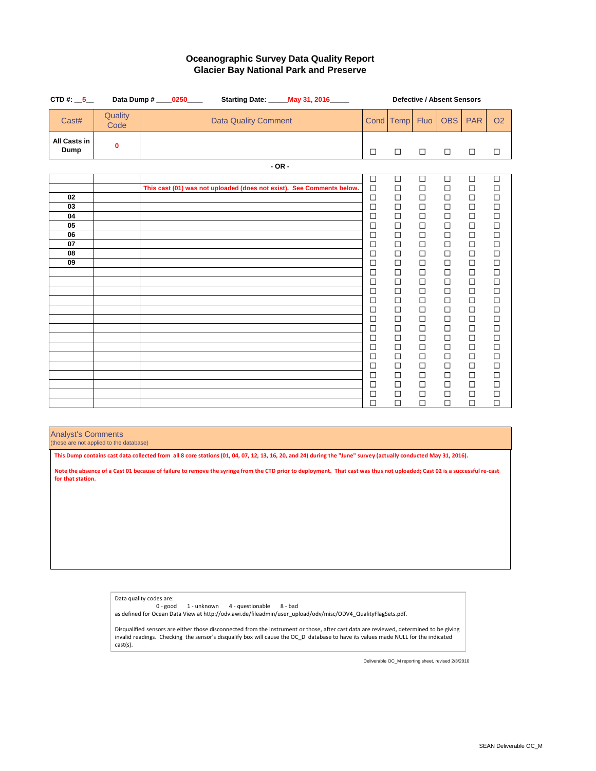| CTD #: $\_5$                       |                  | Data Dump # _____0250_____ |                                                                       |         | <b>Starting Date: _____ May 31, 2016_____</b> | <b>Defective / Absent Sensors</b>    |                                      |                                      |                                      |                                      |                                      |
|------------------------------------|------------------|----------------------------|-----------------------------------------------------------------------|---------|-----------------------------------------------|--------------------------------------|--------------------------------------|--------------------------------------|--------------------------------------|--------------------------------------|--------------------------------------|
| Cast#                              | Quality<br>Code  |                            | <b>Data Quality Comment</b>                                           |         |                                               |                                      | Cond Temp                            | <b>Fluo</b>                          | <b>OBS</b>                           | <b>PAR</b>                           | <b>O2</b>                            |
| <b>All Casts in</b><br><b>Dump</b> | $\boldsymbol{0}$ |                            |                                                                       |         |                                               | $\Box$                               | $\Box$                               | $\Box$                               | $\Box$                               | $\Box$                               | $\Box$                               |
|                                    |                  |                            |                                                                       | $-OR -$ |                                               |                                      |                                      |                                      |                                      |                                      |                                      |
| 02<br>03                           |                  |                            | This cast (01) was not uploaded (does not exist). See Comments below. |         |                                               | $\Box$<br>$\Box$<br>$\Box$<br>$\Box$ | $\Box$<br>$\Box$<br>$\Box$<br>$\Box$ | $\Box$<br>$\Box$<br>$\Box$<br>$\Box$ | $\Box$<br>$\Box$<br>$\Box$<br>$\Box$ | $\Box$<br>$\Box$<br>$\Box$<br>$\Box$ | $\Box$<br>$\Box$<br>$\Box$<br>$\Box$ |
| 04<br>05<br>06                     |                  |                            |                                                                       |         |                                               | $\Box$<br>$\Box$                     | $\Box$<br>$\Box$<br>$\Box$           | $\Box$<br>$\Box$                     | $\Box$<br>$\Box$                     | $\Box$<br>$\Box$                     | $\Box$<br>$\Box$<br>$\Box$           |
| 07<br>08                           |                  |                            |                                                                       |         |                                               | $\Box$<br>$\Box$<br>$\Box$           | $\Box$<br>$\Box$                     | $\Box$<br>$\Box$<br>$\Box$           | $\Box$<br>$\Box$<br>$\Box$           | $\Box$<br>$\Box$<br>$\Box$           | $\Box$<br>$\Box$                     |
| 09                                 |                  |                            |                                                                       |         |                                               | $\Box$<br>$\Box$<br>$\Box$           | $\Box$<br>$\Box$<br>$\Box$           | $\Box$<br>$\Box$<br>$\Box$           | $\Box$<br>$\Box$<br>$\Box$           | $\Box$<br>$\Box$<br>$\Box$           | $\Box$<br>$\Box$<br>$\Box$           |
|                                    |                  |                            |                                                                       |         |                                               | $\Box$<br>$\Box$<br>$\Box$           | $\Box$<br>$\Box$<br>$\Box$           | $\Box$<br>$\Box$<br>$\Box$           | $\Box$<br>$\Box$<br>$\Box$           | $\Box$<br>$\Box$<br>$\Box$           | $\Box$<br>$\Box$<br>$\Box$           |
|                                    |                  |                            |                                                                       |         |                                               | $\Box$<br>$\Box$<br>$\Box$           | $\Box$<br>$\Box$<br>$\Box$           | $\Box$<br>$\Box$<br>$\Box$           | $\Box$<br>$\Box$<br>$\Box$           | $\Box$<br>$\Box$<br>$\Box$           | $\Box$<br>$\Box$<br>$\Box$           |
|                                    |                  |                            |                                                                       |         |                                               | $\Box$<br>⊔                          | $\Box$                               | $\Box$                               | $\Box$<br>⊔                          | $\Box$                               | $\Box$                               |
|                                    |                  |                            |                                                                       |         |                                               | $\Box$<br>$\Box$<br>$\Box$           | $\Box$<br>$\Box$<br>$\Box$           | $\Box$<br>$\Box$<br>$\Box$           | $\Box$<br>$\Box$<br>$\Box$           | $\Box$<br>$\Box$<br>$\Box$           | $\Box$<br>$\Box$<br>$\Box$           |
|                                    |                  |                            |                                                                       |         |                                               | $\Box$<br>$\Box$                     | $\Box$<br>$\Box$                     | $\Box$<br>$\Box$                     | $\Box$<br>$\Box$                     | $\Box$<br>$\Box$                     | $\Box$<br>$\Box$                     |

# **Oceanographic Survey Data Quality Report Glacier Bay National Park and Preserve**

### Analyst's Comments

(these are not applied to the database)

```
Data quality codes are:
```

```
0 - good 1 - unknown 4 - questionable 8 - bad
```
as defined for Ocean Data View at http://odv.awi.de/fileadmin/user\_upload/odv/misc/ODV4\_QualityFlagSets.pdf.

Disqualified sensors are either those disconnected from the instrument or those, after cast data are reviewed, determined to be giving invalid readings. Checking the sensor's disqualify box will cause the OC\_D database to have its values made NULL for the indicated cast(s).

**This Dump contains cast data collected from all 8 core stations (01, 04, 07, 12, 13, 16, 20, and 24) during the "June" survey (actually conducted May 31, 2016).**

**Note the absence of a Cast 01 because of failure to remove the syringe from the CTD prior to deployment. That cast was thus not uploaded; Cast 02 is a successful re-cast for that station.**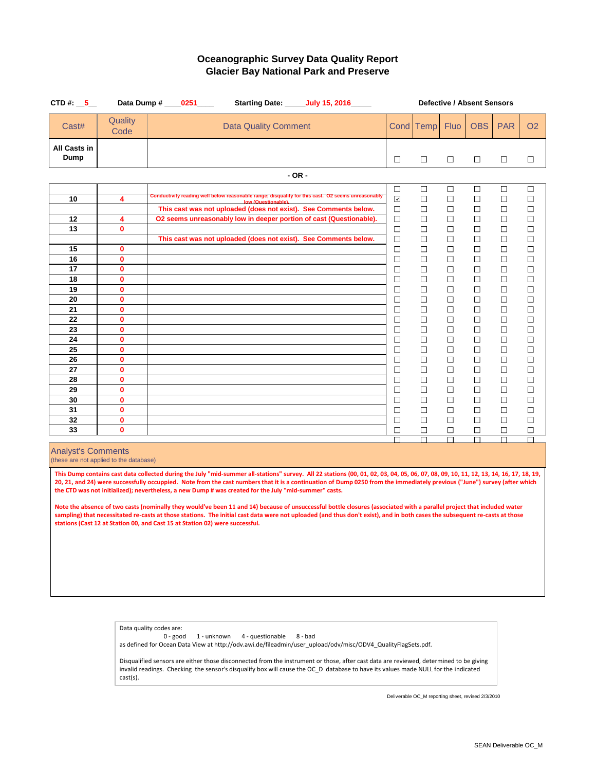| CTD #: $\_5$                       |                                 | Data Dump # _____0251_____ |                             | <b>Starting Date: ______ July 15, 2016______</b>                                                                                        | <b>Defective / Absent Sensors</b> |                          |                          |                  |                  |                  |  |
|------------------------------------|---------------------------------|----------------------------|-----------------------------|-----------------------------------------------------------------------------------------------------------------------------------------|-----------------------------------|--------------------------|--------------------------|------------------|------------------|------------------|--|
| Cast#                              | Quality<br>Code                 |                            | <b>Data Quality Comment</b> |                                                                                                                                         |                                   | Cond Temp                | <b>Fluo</b>              | <b>OBS</b>       | <b>PAR</b>       | <b>O2</b>        |  |
| <b>All Casts in</b><br><b>Dump</b> |                                 |                            |                             |                                                                                                                                         | $\Box$                            | $\Box$                   | $\Box$                   | $\Box$           | $\Box$           | $\Box$           |  |
|                                    |                                 |                            | $-OR -$                     |                                                                                                                                         |                                   |                          |                          |                  |                  |                  |  |
| 10                                 | 4                               |                            | low (Questionable).         | Conductivity reading well below reasonable range; disqualify for this cast. O2 seems unreasonably                                       | $\Box$<br>$\blacktriangledown$    | $\Box$<br>$\Box$         | $\Box$<br>$\Box$         | $\Box$<br>$\Box$ | $\Box$<br>$\Box$ | $\Box$<br>$\Box$ |  |
| 12                                 | 4                               |                            |                             | This cast was not uploaded (does not exist). See Comments below.<br>O2 seems unreasonably low in deeper portion of cast (Questionable). | $\Box$<br>$\Box$                  | $\Box$<br>$\Box$         | $\Box$<br>$\Box$         | $\Box$<br>$\Box$ | $\Box$<br>$\Box$ | $\Box$<br>$\Box$ |  |
| 13                                 | $\boldsymbol{0}$                |                            |                             | This cast was not uploaded (does not exist). See Comments below.                                                                        | $\Box$<br>$\Box$                  | $\Box$<br>$\Box$         | $\Box$<br>$\Box$         | $\Box$<br>$\Box$ | $\Box$<br>$\Box$ | $\Box$<br>$\Box$ |  |
| 15                                 | $\mathbf 0$                     |                            |                             |                                                                                                                                         | $\Box$                            | $\overline{\phantom{a}}$ | $\overline{\phantom{a}}$ | $\Box$           | $\Box$           | $\Box$           |  |
| 16<br>17                           | $\mathbf 0$<br>$\boldsymbol{0}$ |                            |                             |                                                                                                                                         | $\Box$                            | $\Box$<br>$\Box$         | $\Box$<br>$\Box$         | $\Box$<br>$\Box$ | $\Box$<br>$\Box$ | $\Box$<br>$\Box$ |  |
| 18                                 | $\boldsymbol{0}$                |                            |                             |                                                                                                                                         | $\Box$                            | $\Box$                   | $\Box$                   | $\Box$           | $\Box$           | $\Box$           |  |
| 19<br>20                           | $\mathbf 0$<br>$\boldsymbol{0}$ |                            |                             |                                                                                                                                         | $\Box$<br>$\Box$                  | $\Box$<br>$\Box$         | $\Box$                   | $\Box$<br>$\Box$ | $\Box$<br>$\Box$ | $\Box$<br>$\Box$ |  |
| 21                                 | $\mathbf 0$                     |                            |                             |                                                                                                                                         | $\Box$                            | $\Box$                   | $\Box$                   | $\Box$           | $\Box$           | $\Box$           |  |
| 22<br>23                           | $\mathbf 0$<br>$\mathbf 0$      |                            |                             |                                                                                                                                         | $\Box$<br>$\Box$                  | $\Box$<br>$\Box$         | $\Box$                   | $\Box$<br>$\Box$ | $\Box$<br>$\Box$ | $\Box$<br>$\Box$ |  |
| 24                                 | $\boldsymbol{0}$                |                            |                             |                                                                                                                                         | $\Box$                            | $\Box$                   | $\Box$                   | $\Box$           | $\Box$           | $\Box$           |  |
| 25                                 | $\boldsymbol{0}$                |                            |                             |                                                                                                                                         | $\Box$                            | $\Box$                   | $\Box$                   | $\Box$           | $\Box$           | $\Box$           |  |
| 26<br>27                           | $\mathbf 0$<br>$\mathbf 0$      |                            |                             |                                                                                                                                         | $\Box$<br>$\Box$                  | $\Box$<br>$\Box$         | $\Box$<br>$\Box$         | $\Box$<br>$\Box$ | $\Box$<br>$\Box$ | $\Box$<br>$\Box$ |  |
| 28                                 | $\mathbf 0$                     |                            |                             |                                                                                                                                         | $\Box$                            | $\Box$                   | $\Box$                   | $\Box$           | $\Box$           | $\Box$           |  |
| 29                                 | $\boldsymbol{0}$<br>$\mathbf 0$ |                            |                             |                                                                                                                                         | $\Box$                            | $\Box$                   | $\Box$                   | $\Box$           | $\Box$           | $\Box$           |  |
| 30<br>31                           | $\mathbf 0$                     |                            |                             |                                                                                                                                         | $\Box$<br>$\Box$                  | $\Box$<br>$\Box$         | $\Box$<br>$\Box$         | $\Box$<br>$\Box$ | $\Box$<br>$\Box$ | $\Box$<br>$\Box$ |  |
| 32                                 | $\mathbf 0$                     |                            |                             |                                                                                                                                         | $\Box$                            | $\Box$                   |                          | $\Box$           | $\Box$           | $\Box$           |  |
| 33                                 | $\mathbf 0$                     |                            |                             |                                                                                                                                         | $\Box$<br>$\Box$                  | $\Box$<br>$\Box$         | $\Box$                   | $\Box$<br>П      | $\Box$<br>$\Box$ | $\Box$<br>П      |  |

0 - good 1 - unknown 4 - questionable 8 - bad as defined for Ocean Data View at http://odv.awi.de/fileadmin/user\_upload/odv/misc/ODV4\_QualityFlagSets.pdf.

Deliverable OC\_M reporting sheet, revised 2/3/2010

Analyst's Comments

(these are not applied to the database)

### **Oceanographic Survey Data Quality Report Glacier Bay National Park and Preserve**

Data quality codes are:

Disqualified sensors are either those disconnected from the instrument or those, after cast data are reviewed, determined to be giving invalid readings. Checking the sensor's disqualify box will cause the OC\_D database to have its values made NULL for the indicated cast(s).

**This Dump contains cast data collected during the July "mid-summer all-stations" survey. All 22 stations (00, 01, 02, 03, 04, 05, 06, 07, 08, 09, 10, 11, 12, 13, 14, 16, 17, 18, 19, 20, 21, and 24) were successfully occuppied. Note from the cast numbers that it is a continuation of Dump 0250 from the immediately previous ("June") survey (after which the CTD was not initialized); nevertheless, a new Dump # was created for the July "mid-summer" casts.**

**Note the absence of two casts (nominally they would've been 11 and 14) because of unsuccessful bottle closures (associated with a parallel project that included water sampling) that necessitated re-casts at those stations. The initial cast data were not uploaded (and thus don't exist), and in both cases the subsequent re-casts at those stations (Cast 12 at Station 00, and Cast 15 at Station 02) were successful.**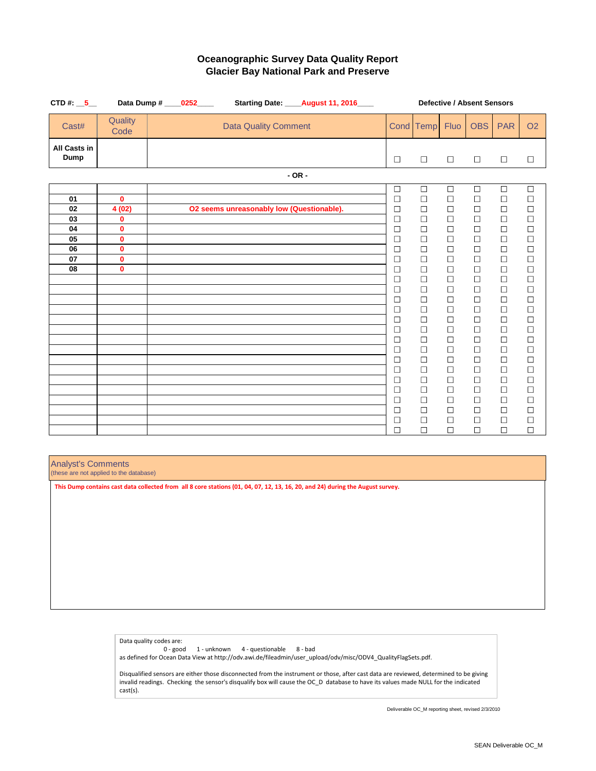| CTD #: $\_5$                       |                                                 | Data Dump # _____0252_____ |                                           | Starting Date: _____August 11, 2016____ | <b>Defective / Absent Sensors</b> |                            |                            |                            |                                                             |                                                             |
|------------------------------------|-------------------------------------------------|----------------------------|-------------------------------------------|-----------------------------------------|-----------------------------------|----------------------------|----------------------------|----------------------------|-------------------------------------------------------------|-------------------------------------------------------------|
| Cast#                              | Quality<br>Code                                 |                            | <b>Data Quality Comment</b>               |                                         |                                   | Cond Temp                  | <b>Fluo</b>                | <b>OBS</b>                 | <b>PAR</b>                                                  | <b>O2</b>                                                   |
| <b>All Casts in</b><br><b>Dump</b> |                                                 |                            |                                           |                                         | $\Box$                            | $\Box$                     | $\Box$                     | $\Box$                     | $\Box$                                                      | $\Box$                                                      |
|                                    |                                                 |                            |                                           | $-OR -$                                 |                                   |                            |                            |                            |                                                             |                                                             |
| 01<br>02                           | $\mathbf{0}$<br>4(02)                           |                            | O2 seems unreasonably low (Questionable). |                                         | $\Box$<br>$\Box$<br>$\Box$        | $\Box$<br>$\Box$<br>$\Box$ | $\Box$<br>$\Box$<br>$\Box$ | $\Box$<br>$\Box$<br>$\Box$ | $\Box$<br>$\Box$<br>$\Box$                                  | $\Box$<br>$\Box$<br>$\Box$                                  |
| 03<br>04<br>05                     | $\boldsymbol{0}$<br>$\mathbf{0}$<br>$\mathbf 0$ |                            |                                           |                                         | $\Box$<br>$\Box$<br>$\Box$        | $\Box$<br>$\Box$<br>$\Box$ | $\Box$<br>$\Box$<br>$\Box$ | $\Box$<br>$\Box$<br>$\Box$ | $\Box$<br>$\Box$<br>$\Box$                                  | $\Box$<br>$\begin{array}{c} \square \\ \square \end{array}$ |
| 06<br>07                           | $\mathbf{0}$<br>$\mathbf{0}$                    |                            |                                           |                                         | $\Box$<br>$\Box$                  | $\Box$<br>$\Box$           | $\Box$<br>$\Box$           | $\Box$<br>$\Box$           | $\Box$<br>$\begin{array}{c} \square \\ \square \end{array}$ |                                                             |
| 08                                 | $\mathbf{0}$                                    |                            |                                           |                                         | $\Box$<br>$\Box$<br>$\Box$        | $\Box$<br>$\Box$<br>$\Box$ | $\Box$<br>$\Box$<br>$\Box$ | $\Box$<br>$\Box$<br>$\Box$ | $\Box$<br>$\Box$                                            | $\Box$                                                      |
|                                    |                                                 |                            |                                           |                                         | $\Box$<br>$\Box$<br>$\Box$        | $\Box$<br>$\Box$<br>$\Box$ | $\Box$<br>$\Box$<br>$\Box$ | $\Box$<br>$\Box$<br>$\Box$ | $\Box$<br>$\Box$<br>$\Box$                                  | $\Box$<br>$\Box$<br>$\Box$                                  |
|                                    |                                                 |                            |                                           |                                         | $\Box$<br>$\Box$<br>$\Box$        | $\Box$<br>$\Box$<br>$\Box$ | $\Box$<br>$\Box$<br>$\Box$ | $\Box$<br>$\Box$<br>$\Box$ | $\Box$<br>$\Box$<br>$\Box$                                  | $\Box$<br>$\Box$<br>$\Box$                                  |
|                                    |                                                 |                            |                                           |                                         | $\Box$<br>$\Box$                  | $\Box$<br>$\Box$           | $\Box$<br>$\Box$           | $\Box$<br>$\Box$           | $\Box$<br>$\Box$                                            | $\Box$<br>$\Box$                                            |
|                                    |                                                 |                            |                                           |                                         | $\Box$<br>$\Box$<br>$\Box$        | $\Box$<br>$\Box$<br>$\Box$ | $\Box$<br>$\Box$<br>$\Box$ | $\Box$<br>$\Box$<br>$\Box$ | $\Box$<br>$\Box$<br>$\Box$                                  | $\Box$<br>$\Box$<br>$\Box$                                  |
|                                    |                                                 |                            |                                           |                                         | $\Box$<br>$\Box$<br>$\Box$        | $\Box$<br>$\Box$<br>$\Box$ | $\Box$<br>$\Box$<br>$\Box$ | $\Box$<br>$\Box$<br>$\Box$ | $\Box$<br>$\Box$<br>$\Box$                                  | $\Box$<br>$\Box$<br>$\Box$                                  |

## **Oceanographic Survey Data Quality Report Glacier Bay National Park and Preserve**

Analyst's Comments

(these are not applied to the database)

Data quality codes are:

0 - good 1 - unknown 4 - questionable 8 - bad

as defined for Ocean Data View at http://odv.awi.de/fileadmin/user\_upload/odv/misc/ODV4\_QualityFlagSets.pdf.

Disqualified sensors are either those disconnected from the instrument or those, after cast data are reviewed, determined to be giving invalid readings. Checking the sensor's disqualify box will cause the OC\_D database to have its values made NULL for the indicated cast(s).

**This Dump contains cast data collected from all 8 core stations (01, 04, 07, 12, 13, 16, 20, and 24) during the August survey.**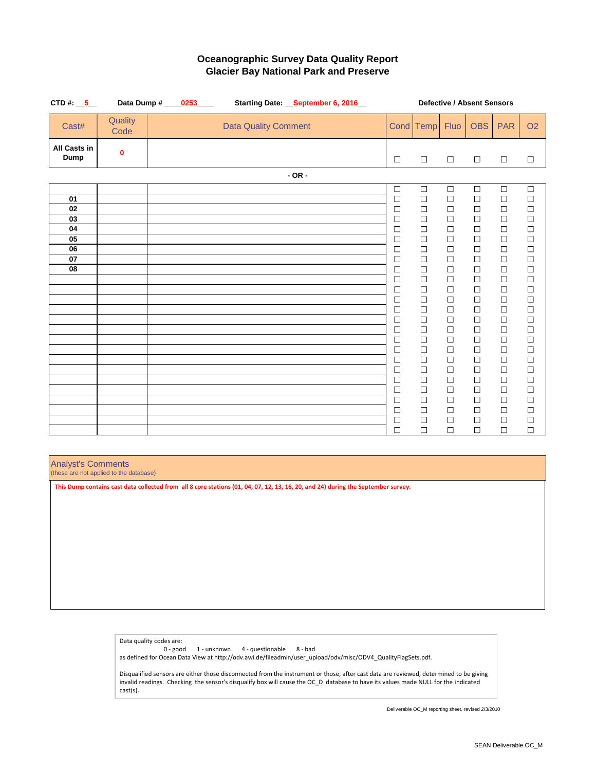| CTD #: $\_5$                                 |                  | Data Dump # ____0253____<br>Starting Date: September 6, 2016 |  |                             |         |  | <b>Defective / Absent Sensors</b> |                                                                                                                                                                                                                                              |                                                                                                                                                                                                                                              |                                                                                                                                                                                                                          |                                                                                                                                                                                                                                              |                                                                                                                                                                                                                                              |                                                                                                                                                                                                                                                  |  |
|----------------------------------------------|------------------|--------------------------------------------------------------|--|-----------------------------|---------|--|-----------------------------------|----------------------------------------------------------------------------------------------------------------------------------------------------------------------------------------------------------------------------------------------|----------------------------------------------------------------------------------------------------------------------------------------------------------------------------------------------------------------------------------------------|--------------------------------------------------------------------------------------------------------------------------------------------------------------------------------------------------------------------------|----------------------------------------------------------------------------------------------------------------------------------------------------------------------------------------------------------------------------------------------|----------------------------------------------------------------------------------------------------------------------------------------------------------------------------------------------------------------------------------------------|--------------------------------------------------------------------------------------------------------------------------------------------------------------------------------------------------------------------------------------------------|--|
| Cast#                                        | Quality<br>Code  |                                                              |  | <b>Data Quality Comment</b> |         |  |                                   |                                                                                                                                                                                                                                              | Cond Temp                                                                                                                                                                                                                                    | <b>Fluo</b>                                                                                                                                                                                                              | <b>OBS</b>                                                                                                                                                                                                                                   | <b>PAR</b>                                                                                                                                                                                                                                   | <b>O2</b>                                                                                                                                                                                                                                        |  |
| <b>All Casts in</b><br><b>Dump</b>           | $\boldsymbol{0}$ |                                                              |  |                             |         |  |                                   | $\Box$                                                                                                                                                                                                                                       | $\Box$                                                                                                                                                                                                                                       | $\Box$                                                                                                                                                                                                                   | $\Box$                                                                                                                                                                                                                                       | $\Box$                                                                                                                                                                                                                                       | $\Box$                                                                                                                                                                                                                                           |  |
|                                              |                  |                                                              |  |                             | $-OR -$ |  |                                   |                                                                                                                                                                                                                                              |                                                                                                                                                                                                                                              |                                                                                                                                                                                                                          |                                                                                                                                                                                                                                              |                                                                                                                                                                                                                                              |                                                                                                                                                                                                                                                  |  |
| 01<br>02<br>03<br>04<br>05<br>06<br>07<br>08 |                  |                                                              |  |                             |         |  |                                   | $\Box$<br>$\Box$<br>$\Box$<br>$\Box$<br>$\Box$<br>$\Box$<br>$\Box$<br>$\Box$<br>$\Box$<br>$\Box$<br>$\Box$<br>$\Box$<br>$\Box$<br>$\Box$<br>$\Box$<br>$\Box$<br>$\Box$<br>$\Box$<br>$\Box$<br>$\Box$<br>$\Box$<br>$\Box$<br>$\Box$<br>$\Box$ | $\Box$<br>$\Box$<br>$\Box$<br>$\Box$<br>$\Box$<br>$\Box$<br>$\Box$<br>$\Box$<br>$\Box$<br>$\Box$<br>$\Box$<br>$\Box$<br>$\Box$<br>$\Box$<br>$\Box$<br>$\Box$<br>$\Box$<br>$\Box$<br>$\Box$<br>$\Box$<br>$\Box$<br>$\Box$<br>$\Box$<br>$\Box$ | $\Box$<br>$\Box$<br>$\Box$<br>$\Box$<br>$\Box$<br>$\Box$<br>$\Box$<br>$\Box$<br>$\Box$<br>$\Box$<br>$\Box$<br>$\Box$<br>$\Box$<br>$\Box$<br>$\Box$<br>$\Box$<br>$\Box$<br>$\Box$<br>$\Box$<br>$\Box$<br>$\Box$<br>$\Box$ | $\Box$<br>$\Box$<br>$\Box$<br>$\Box$<br>$\Box$<br>$\Box$<br>$\Box$<br>$\Box$<br>$\Box$<br>$\Box$<br>$\Box$<br>$\Box$<br>$\Box$<br>$\Box$<br>$\Box$<br>$\Box$<br>$\Box$<br>$\Box$<br>$\Box$<br>$\Box$<br>$\Box$<br>$\Box$<br>$\Box$<br>$\Box$ | $\Box$<br>$\Box$<br>$\Box$<br>$\Box$<br>$\Box$<br>$\Box$<br>$\Box$<br>$\Box$<br>$\Box$<br>$\Box$<br>$\Box$<br>$\Box$<br>$\Box$<br>$\Box$<br>$\Box$<br>$\Box$<br>$\Box$<br>$\Box$<br>$\Box$<br>$\Box$<br>$\Box$<br>$\Box$<br>$\Box$<br>$\Box$ | $\Box$<br>$\Box$<br>$\Box$<br>$\begin{array}{c} \square \\ \square \end{array}$<br>$\Box$<br>$\Box$<br>$\Box$<br>$\Box$<br>$\Box$<br>$\Box$<br>000000<br>$\Box$<br>$\Box$<br>$\mathcal{L}_{\mathcal{A}}$<br>$\sim$<br>$\Box$<br>$\Box$<br>$\Box$ |  |
|                                              |                  |                                                              |  |                             |         |  |                                   | $\Box$                                                                                                                                                                                                                                       | $\Box$                                                                                                                                                                                                                                       | $\Box$                                                                                                                                                                                                                   | $\Box$                                                                                                                                                                                                                                       | $\Box$                                                                                                                                                                                                                                       | $\Box$                                                                                                                                                                                                                                           |  |

# **Oceanographic Survey Data Quality Report Glacier Bay National Park and Preserve**

Analyst's Comments

(these are not applied to the database)

Data quality codes are:

0 - good 1 - unknown 4 - questionable 8 - bad

as defined for Ocean Data View at http://odv.awi.de/fileadmin/user\_upload/odv/misc/ODV4\_QualityFlagSets.pdf.

Disqualified sensors are either those disconnected from the instrument or those, after cast data are reviewed, determined to be giving invalid readings. Checking the sensor's disqualify box will cause the OC\_D database to have its values made NULL for the indicated cast(s).

**This Dump contains cast data collected from all 8 core stations (01, 04, 07, 12, 13, 16, 20, and 24) during the September survey.**